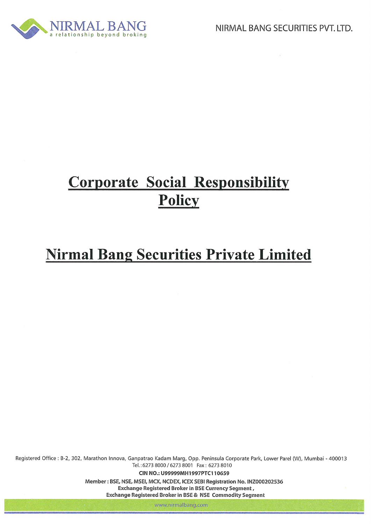

## **Corporate Social Responsibility** Policy

# **Nirmal Bang Securities Private Limited**

Registered Office : B-2, 302, Marathon Innova, Ganpatrao Kadam Marg, Opp. Peninsula Corporate Park, Lower Parel (W), Mumbai - 400013 Tel.: 6273 8000 / 6273 8001 Fax: 6273 8010

CIN NO.: U99999MH1997PTC110659

Member: BSE, NSE, MSEI, MCX, NCDEX, ICEX SEBI Registration No. INZ000202536 Exchange Registered Broker in BSE Currency Segment, Exchange Registered Broker in BSE & NSE Commodity Segment

www.nirmalbang.com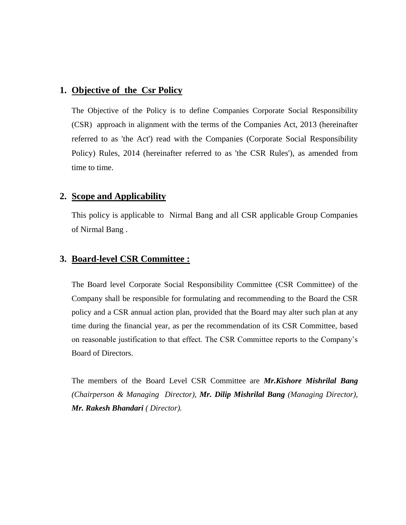#### **1. Objective of the Csr Policy**

The Objective of the Policy is to define Companies Corporate Social Responsibility (CSR) approach in alignment with the terms of the Companies Act, 2013 (hereinafter referred to as 'the Act') read with the Companies (Corporate Social Responsibility Policy) Rules, 2014 (hereinafter referred to as 'the CSR Rules'), as amended from time to time.

### **2. Scope and Applicability**

This policy is applicable to Nirmal Bang and all CSR applicable Group Companies of Nirmal Bang .

#### **3. Board-level CSR Committee :**

The Board level Corporate Social Responsibility Committee (CSR Committee) of the Company shall be responsible for formulating and recommending to the Board the CSR policy and a CSR annual action plan, provided that the Board may alter such plan at any time during the financial year, as per the recommendation of its CSR Committee, based on reasonable justification to that effect. The CSR Committee reports to the Company's Board of Directors.

The members of the Board Level CSR Committee are *Mr.Kishore Mishrilal Bang (Chairperson & Managing Director), Mr. Dilip Mishrilal Bang (Managing Director), Mr. Rakesh Bhandari ( Director).*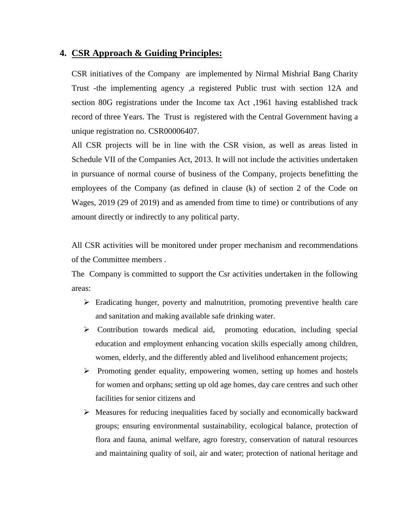#### **4. CSR Approach & Guiding Principles:**

CSR initiatives of the Company are implemented by Nirmal Mishrial Bang Charity Trust -the implementing agency ,a registered Public trust with section 12A and section 80G registrations under the Income tax Act ,1961 having established track record of three Years. The Trust is registered with the Central Government having a unique registration no. CSR00006407.

All CSR projects will be in line with the CSR vision, as well as areas listed in Schedule VII of the Companies Act, 2013. It will not include the activities undertaken in pursuance of normal course of business of the Company, projects benefitting the employees of the Company (as defined in clause (k) of section 2 of the Code on Wages, 2019 (29 of 2019) and as amended from time to time) or contributions of any amount directly or indirectly to any political party.

All CSR activities will be monitored under proper mechanism and recommendations of the Committee members .

The Company is committed to support the Csr activities undertaken in the following areas:

- $\triangleright$  Eradicating hunger, poverty and malnutrition, promoting preventive health care and sanitation and making available safe drinking water.
- $\triangleright$  Contribution towards medical aid, promoting education, including special education and employment enhancing vocation skills especially among children, women, elderly, and the differently abled and livelihood enhancement projects;
- $\triangleright$  Promoting gender equality, empowering women, setting up homes and hostels for women and orphans; setting up old age homes, day care centres and such other facilities for senior citizens and
- $\triangleright$  Measures for reducing inequalities faced by socially and economically backward groups; ensuring environmental sustainability, ecological balance, protection of flora and fauna, animal welfare, agro forestry, conservation of natural resources and maintaining quality of soil, air and water; protection of national heritage and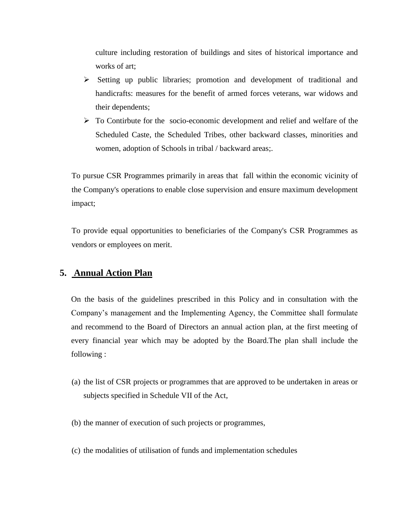culture including restoration of buildings and sites of historical importance and works of art;

- $\triangleright$  Setting up public libraries; promotion and development of traditional and handicrafts: measures for the benefit of armed forces veterans, war widows and their dependents;
- $\triangleright$  To Contirbute for the socio-economic development and relief and welfare of the Scheduled Caste, the Scheduled Tribes, other backward classes, minorities and women, adoption of Schools in tribal / backward areas;.

To pursue CSR Programmes primarily in areas that fall within the economic vicinity of the Company's operations to enable close supervision and ensure maximum development impact;

To provide equal opportunities to beneficiaries of the Company's CSR Programmes as vendors or employees on merit.

## **5. Annual Action Plan**

On the basis of the guidelines prescribed in this Policy and in consultation with the Company's management and the Implementing Agency, the Committee shall formulate and recommend to the Board of Directors an annual action plan, at the first meeting of every financial year which may be adopted by the Board.The plan shall include the following :

- (a) the list of CSR projects or programmes that are approved to be undertaken in areas or subjects specified in Schedule VII of the Act,
- (b) the manner of execution of such projects or programmes,
- (c) the modalities of utilisation of funds and implementation schedules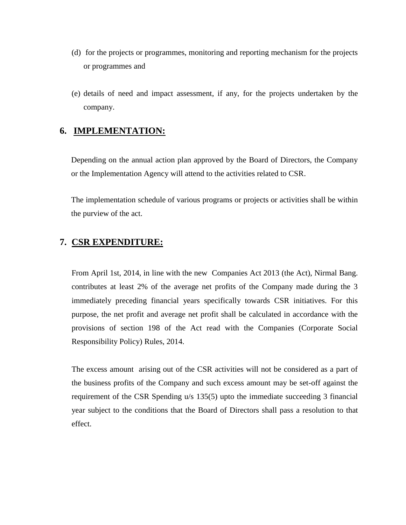- (d) for the projects or programmes, monitoring and reporting mechanism for the projects or programmes and
- (e) details of need and impact assessment, if any, for the projects undertaken by the company.

#### **6. IMPLEMENTATION:**

Depending on the annual action plan approved by the Board of Directors, the Company or the Implementation Agency will attend to the activities related to CSR.

The implementation schedule of various programs or projects or activities shall be within the purview of the act.

## **7. CSR EXPENDITURE:**

From April 1st, 2014, in line with the new Companies Act 2013 (the Act), Nirmal Bang. contributes at least 2% of the average net profits of the Company made during the 3 immediately preceding financial years specifically towards CSR initiatives. For this purpose, the net profit and average net profit shall be calculated in accordance with the provisions of section 198 of the Act read with the Companies (Corporate Social Responsibility Policy) Rules, 2014.

The excess amount arising out of the CSR activities will not be considered as a part of the business profits of the Company and such excess amount may be set-off against the requirement of the CSR Spending u/s 135(5) upto the immediate succeeding 3 financial year subject to the conditions that the Board of Directors shall pass a resolution to that effect.